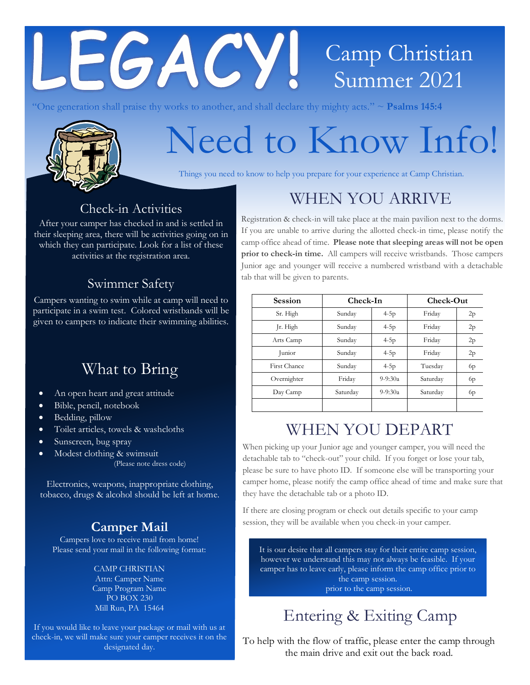# **EGACY!** Camp Christian Summer 2021

"One generation shall praise thy works to another, and shall declare thy mighty acts." ~ **Psalms 145:4**



# Need to Know Info!

Things you need to know to help you prepare for your experience at Camp Christian.

### Check-in Activities

After your camper has checked in and is settled in their sleeping area, there will be activities going on in which they can participate. Look for a list of these activities at the registration area.

#### Swimmer Safety

Campers wanting to swim while at camp will need to participate in a swim test. Colored wristbands will be given to campers to indicate their swimming abilities.

## What to Bring

- An open heart and great attitude
- Bible, pencil, notebook
- Bedding, pillow
- Toilet articles, towels & washcloths
- Sunscreen, bug spray
- Modest clothing & swimsuit (Please note dress code)

Electronics, weapons, inappropriate clothing, tobacco, drugs & alcohol should be left at home.

### **Camper Mail**

Campers love to receive mail from home! Please send your mail in the following format:

#### CAMP CHRISTIAN

Attn: Camper Name Camp Program Name PO BOX 230 Mill Run, PA 15464

If you would like to leave your package or mail with us at check-in, we will make sure your camper receives it on the designated day.

## WHEN YOU ARRIVE

Registration & check-in will take place at the main pavilion next to the dorms. If you are unable to arrive during the allotted check-in time, please notify the camp office ahead of time. **Please note that sleeping areas will not be open prior to check-in time.** All campers will receive wristbands. Those campers Junior age and younger will receive a numbered wristband with a detachable tab that will be given to parents.

| <b>Session</b> | Check-In |           | Check-Out |    |
|----------------|----------|-----------|-----------|----|
| Sr. High       | Sunday   | $4-5p$    | Friday    | 2p |
| Jr. High       | Sunday   | $4-5p$    | Friday    | 2p |
| Arts Camp      | Sunday   | $4-5p$    | Friday    | 2p |
| Junior         | Sunday   | $4-5p$    | Friday    | 2p |
| First Chance   | Sunday   | $4-5p$    | Tuesday   | 6p |
| Overnighter    | Friday   | $9-9:30a$ | Saturday  | 6p |
| Day Camp       | Saturday | $9-9:30a$ | Saturday  | 6p |
|                |          |           |           |    |

## WHEN YOU DEPART

When picking up your Junior age and younger camper, you will need the detachable tab to "check-out" your child. If you forget or lose your tab, please be sure to have photo ID. If someone else will be transporting your camper home, please notify the camp office ahead of time and make sure that they have the detachable tab or a photo ID.

If there are closing program or check out details specific to your camp session, they will be available when you check-in your camper.

It is our desire that all campers stay for their entire camp session, however we understand this may not always be feasible. If your camper has to leave early, please inform the camp office prior to the camp session. prior to the camp session.

Entering & Exiting Camp

To help with the flow of traffic, please enter the camp through the main drive and exit out the back road.